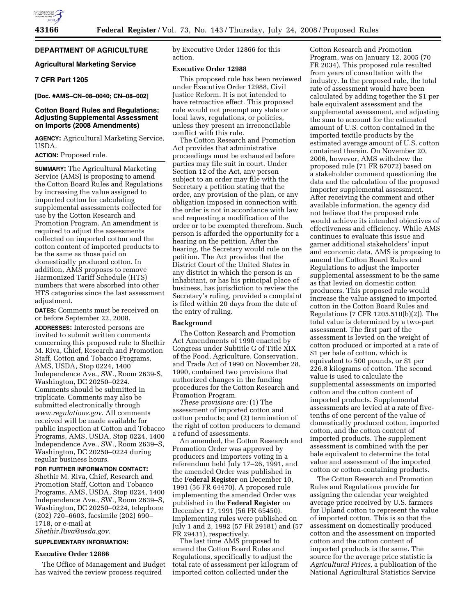## **DEPARTMENT OF AGRICULTURE**

## **Agricultural Marketing Service**

## **7 CFR Part 1205**

**[Doc. #AMS–CN–08–0040; CN–08–002]** 

## **Cotton Board Rules and Regulations: Adjusting Supplemental Assessment on Imports (2008 Amendments)**

**AGENCY:** Agricultural Marketing Service, USDA.

#### **ACTION:** Proposed rule.

**SUMMARY:** The Agricultural Marketing Service (AMS) is proposing to amend the Cotton Board Rules and Regulations by increasing the value assigned to imported cotton for calculating supplemental assessments collected for use by the Cotton Research and Promotion Program. An amendment is required to adjust the assessments collected on imported cotton and the cotton content of imported products to be the same as those paid on domestically produced cotton. In addition, AMS proposes to remove Harmonized Tariff Schedule (HTS) numbers that were absorbed into other HTS categories since the last assessment adjustment.

**DATES:** Comments must be received on or before September 22, 2008.

**ADDRESSES:** Interested persons are invited to submit written comments concerning this proposed rule to Shethir M. Riva, Chief, Research and Promotion Staff, Cotton and Tobacco Programs, AMS, USDA, Stop 0224, 1400 Independence Ave., SW., Room 2639-S, Washington, DC 20250–0224. Comments should be submitted in triplicate. Comments may also be submitted electronically through *www.regulations.gov*. All comments received will be made available for public inspection at Cotton and Tobacco Programs, AMS, USDA, Stop 0224, 1400 Independence Ave., SW., Room 2639–S, Washington, DC 20250–0224 during regular business hours.

#### **FOR FURTHER INFORMATION CONTACT:**  Shethir M. Riva, Chief, Research and Promotion Staff, Cotton and Tobacco Programs, AMS, USDA, Stop 0224, 1400 Independence Ave., SW., Room 2639–S, Washington, DC 20250–0224, telephone (202) 720–6603, facsimile (202) 690– 1718, or e-mail at

*Shethir.Riva@usda.gov*.

## **SUPPLEMENTARY INFORMATION:**

#### **Executive Order 12866**

The Office of Management and Budget has waived the review process required

by Executive Order 12866 for this action.

#### **Executive Order 12988**

This proposed rule has been reviewed under Executive Order 12988, Civil Justice Reform. It is not intended to have retroactive effect. This proposed rule would not preempt any state or local laws, regulations, or policies, unless they present an irreconcilable conflict with this rule.

The Cotton Research and Promotion Act provides that administrative proceedings must be exhausted before parties may file suit in court. Under Section 12 of the Act, any person subject to an order may file with the Secretary a petition stating that the order, any provision of the plan, or any obligation imposed in connection with the order is not in accordance with law and requesting a modification of the order or to be exempted therefrom. Such person is afforded the opportunity for a hearing on the petition. After the hearing, the Secretary would rule on the petition. The Act provides that the District Court of the United States in any district in which the person is an inhabitant, or has his principal place of business, has jurisdiction to review the Secretary's ruling, provided a complaint is filed within 20 days from the date of the entry of ruling.

#### **Background**

The Cotton Research and Promotion Act Amendments of 1990 enacted by Congress under Subtitle G of Title XIX of the Food, Agriculture, Conservation, and Trade Act of 1990 on November 28, 1990, contained two provisions that authorized changes in the funding procedures for the Cotton Research and Promotion Program.

*These provisions are:* (1) The assessment of imported cotton and cotton products; and (2) termination of the right of cotton producers to demand a refund of assessments.

An amended, the Cotton Research and Promotion Order was approved by producers and importers voting in a referendum held July 17–26, 1991, and the amended Order was published in the **Federal Register** on December 10, 1991 (56 FR 64470). A proposed rule implementing the amended Order was published in the **Federal Register** on December 17, 1991 (56 FR 65450). Implementing rules were published on July 1 and 2, 1992 (57 FR 29181) and (57 FR 29431), respectively.

The last time AMS proposed to amend the Cotton Board Rules and Regulations, specifically to adjust the total rate of assessment per kilogram of imported cotton collected under the

Cotton Research and Promotion Program, was on January 12, 2005 (70 FR 2034). This proposed rule resulted from years of consultation with the industry. In the proposed rule, the total rate of assessment would have been calculated by adding together the \$1 per bale equivalent assessment and the supplemental assessment, and adjusting the sum to account for the estimated amount of U.S. cotton contained in the imported textile products by the estimated average amount of U.S. cotton contained therein. On November 20, 2006, however, AMS withdrew the proposed rule (71 FR 67072) based on a stakeholder comment questioning the data and the calculation of the proposed importer supplemental assessment. After receiving the comment and other available information, the agency did not believe that the proposed rule would achieve its intended objectives of effectiveness and efficiency. While AMS continues to evaluate this issue and garner additional stakeholders' input and economic data, AMS is proposing to amend the Cotton Board Rules and Regulations to adjust the importer supplemental assessment to be the same as that levied on domestic cotton producers. This proposed rule would increase the value assigned to imported cotton in the Cotton Board Rules and Regulations (7 CFR 1205.510(b)(2)). The total value is determined by a two-part assessment. The first part of the assessment is levied on the weight of cotton produced or imported at a rate of \$1 per bale of cotton, which is equivalent to 500 pounds, or \$1 per 226.8 kilograms of cotton. The second value is used to calculate the supplemental assessments on imported cotton and the cotton content of imported products. Supplemental assessments are levied at a rate of fivetenths of one percent of the value of domestically produced cotton, imported cotton, and the cotton content of imported products. The supplement assessment is combined with the per bale equivalent to determine the total value and assessment of the imported cotton or cotton-containing products.

The Cotton Research and Promotion Rules and Regulations provide for assigning the calendar year weighted average price received by U.S. farmers for Upland cotton to represent the value of imported cotton. This is so that the assessment on domestically produced cotton and the assessment on imported cotton and the cotton content of imported products is the same. The source for the average price statistic is *Agricultural Prices,* a publication of the National Agricultural Statistics Service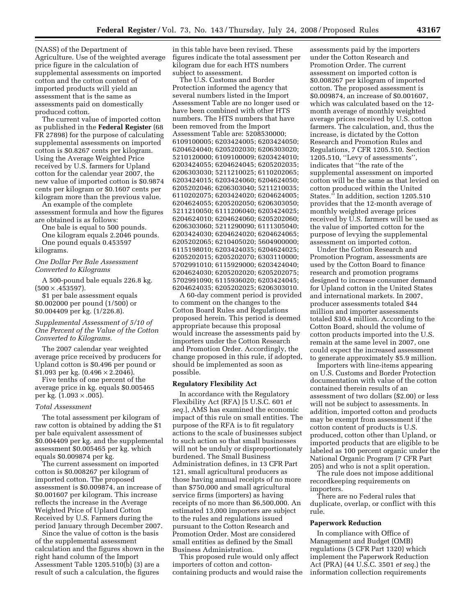(NASS) of the Department of Agriculture. Use of the weighted average price figure in the calculation of supplemental assessments on imported cotton and the cotton content of imported products will yield an assessment that is the same as assessments paid on domestically produced cotton.

The current value of imported cotton as published in the **Federal Register** (68 FR 27898) for the purpose of calculating supplemental assessments on imported cotton is \$0.8267 cents per kilogram. Using the Average Weighted Price received by U.S. farmers for Upland cotton for the calendar year 2007, the new value of imported cotton is \$0.9874 cents per kilogram or \$0.1607 cents per kilogram more than the previous value.

An example of the complete assessment formula and how the figures are obtained is as follows:

One bale is equal to 500 pounds. One kilogram equals 2.2046 pounds. One pound equals 0.453597

kilograms.

*One Dollar Per Bale Assessment Converted to Kilograms* 

A 500-pound bale equals 226.8 kg.  $(500 \times .453597).$ 

\$1 per bale assessment equals \$0.002000 per pound (1/500) or \$0.004409 per kg. (1/226.8).

#### *Supplemental Assessment of 5/10 of One Percent of the Value of the Cotton Converted to Kilograms.*

The 2007 calendar year weighted average price received by producers for Upland cotton is \$0.496 per pound or \$1.093 per kg. (0.496 × 2.2046).

Five tenths of one percent of the average price in kg. equals \$0.005465 per kg.  $(1.093 \times .005)$ .

#### *Total Assessment*

The total assessment per kilogram of raw cotton is obtained by adding the \$1 per bale equivalent assessment of \$0.004409 per kg. and the supplemental assessment \$0.005465 per kg. which equals \$0.009874 per kg.

The current assessment on imported cotton is \$0.008267 per kilogram of imported cotton. The proposed assessment is \$0.009874, an increase of \$0.001607 per kilogram. This increase reflects the increase in the Average Weighted Price of Upland Cotton Received by U.S. Farmers during the period January through December 2007.

Since the value of cotton is the basis of the supplemental assessment calculation and the figures shown in the right hand column of the Import Assessment Table 1205.510(b) (3) are a result of such a calculation, the figures

in this table have been revised. These figures indicate the total assessment per kilogram due for each HTS numbers subject to assessment.

The U.S. Customs and Border Protection informed the agency that several numbers listed in the Import Assessment Table are no longer used or have been combined with other HTS numbers. The HTS numbers that have been removed from the Import Assessment Table are: 5208530000; 6109100005; 6203424005; 6203424050; 6204624040; 6205202030; 6206303020; 5210120000; 6109100009; 6203424010; 6203424055; 6204624045; 6205202035; 6206303030; 5211210025; 6110202065; 6203424015; 6203424060; 6204624050; 6205202046; 6206303040; 5211210035; 6110202075; 6203424020; 6204624005; 6204624055; 6205202050; 6206303050; 5211210050; 6111206040; 6203424025; 6204624010; 6204624060; 6205202060; 6206303060; 5211290090; 6111305040; 6203424030; 6204624020; 6204624065; 6205202065; 6210405020; 5604900000; 6115198010; 6203424035; 6204624025; 6205202015; 6205202070; 6303110000; 5702991010; 6115929000; 6203424040; 6204624030; 6205202020; 6205202075; 5702991090; 6115936020; 6203424045; 6204624035; 6205202025; 6206303010.

A 60-day comment period is provided to comment on the changes to the Cotton Board Rules and Regulations proposed herein. This period is deemed appropriate because this proposal would increase the assessments paid by importers under the Cotton Research and Promotion Order. Accordingly, the change proposed in this rule, if adopted, should be implemented as soon as possible.

#### **Regulatory Flexibility Act**

In accordance with the Regulatory Flexibility Act (RFA) [5 U.S.C. 601 *et seq.*], AMS has examined the economic impact of this rule on small entities. The purpose of the RFA is to fit regulatory actions to the scale of businesses subject to such action so that small businesses will not be unduly or disproportionately burdened. The Small Business Administration defines, in 13 CFR Part 121, small agricultural producers as those having annual receipts of no more than \$750,000 and small agricultural service firms (importers) as having receipts of no more than \$6,500,000. An estimated 13,000 importers are subject to the rules and regulations issued pursuant to the Cotton Research and Promotion Order. Most are considered small entities as defined by the Small Business Administration.

This proposed rule would only affect importers of cotton and cottoncontaining products and would raise the

assessments paid by the importers under the Cotton Research and Promotion Order. The current assessment on imported cotton is \$0.008267 per kilogram of imported cotton. The proposed assessment is \$0.009874, an increase of \$0.001607, which was calculated based on the 12 month average of monthly weighted average prices received by U.S. cotton farmers. The calculation, and, thus the increase, is dictated by the Cotton Research and Promotion Rules and Regulations, 7 CFR 1205.510. Section 1205.510, ''Levy of assessments'', indicates that ''the rate of the supplemental assessment on imported cotton will be the same as that levied on cotton produced within the United States." In addition, section 1205.510 provides that the 12-month average of monthly weighted average prices received by U.S. farmers will be used as the value of imported cotton for the purpose of levying the supplemental assessment on imported cotton.

Under the Cotton Research and Promotion Program, assessments are used by the Cotton Board to finance research and promotion programs designed to increase consumer demand for Upland cotton in the United States and international markets. In 2007, producer assessments totaled \$44 million and importer assessments totaled \$30.4 million. According to the Cotton Board, should the volume of cotton products imported into the U.S. remain at the same level in 2007, one could expect the increased assessment to generate approximately \$5.9 million.

Importers with line-items appearing on U.S. Customs and Border Protection documentation with value of the cotton contained therein results of an assessment of two dollars (\$2.00) or less will not be subject to assessments. In addition, imported cotton and products may be exempt from assessment if the cotton content of products is U.S. produced, cotton other than Upland, or imported products that are eligible to be labeled as 100 percent organic under the National Organic Program (7 CFR Part 205) and who is not a split operation.

The rule does not impose additional recordkeeping requirements on importers.

There are no Federal rules that duplicate, overlap, or conflict with this rule.

#### **Paperwork Reduction**

In compliance with Office of Management and Budget (OMB) regulations (5 CFR Part 1320) which implement the Paperwork Reduction Act (PRA) (44 U.S.C. 3501 *et seq.*) the information collection requirements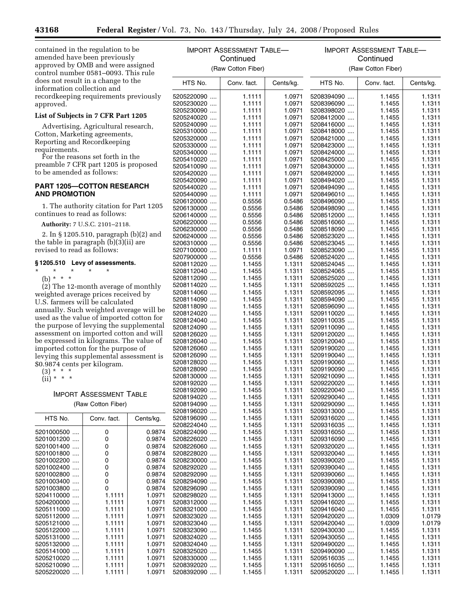contained in the regulation to be amended have been previously approved by OMB and were assigned control number 0581–0093. This rule does not result in a change to the information collection and recordkeeping requirements previously approved.

## **List of Subjects in 7 CFR Part 1205**

Advertising, Agricultural research, Cotton, Marketing agreements, Reporting and Recordkeeping requirements.

For the reasons set forth in the preamble 7 CFR part 1205 is proposed to be amended as follows:

#### **PART 1205—COTTON RESEARCH AND PROMOTION**

1. The authority citation for Part 1205 continues to read as follows:

**Authority:** 7 U.S.C. 2101–2118.

2. In § 1205.510, paragraph (b)(2) and the table in paragraph (b)(3)(ii) are revised to read as follows:

#### **§ 1205.510 Levy of assessments.**

\* \* \* \* \*

(b) \* \* \* (2) The 12-month average of monthly weighted average prices received by U.S. farmers will be calculated annually. Such weighted average will be used as the value of imported cotton for the purpose of levying the supplemental assessment on imported cotton and will be expressed in kilograms. The value of imported cotton for the purpose of levying this supplemental assessment is \$0.9874 cents per kilogram.

 $(3) * * * *$ 

 $(ii) * * * *$ 

# IMPORT ASSESSMENT TABLE

(Raw Cotton Fiber)

| HTS No.                                | Conv. fact. | Cents/kg. | 520<br>520 |
|----------------------------------------|-------------|-----------|------------|
| 5201000500                             | 0           | 0.9874    | 520        |
| 5201001200                             | 0           | 0.9874    | 520        |
| 5201001400                             | 0           | 0.9874    | 520        |
| 5201001800                             | 0           | 0.9874    | 520        |
| 5201002200                             | 0           | 0.9874    | 520        |
| 5201002400                             | 0           | 0.9874    | 520        |
| 5201002800<br>$\overline{\phantom{a}}$ | 0           | 0.9874    | 520        |
| 5201003400                             | 0           | 0.9874    | 520        |
| 5201003800                             | 0           | 0.9874    | 520        |
| 5204110000                             | 1.1111      | 1.0971    | 520        |
| 5204200000                             | 1.1111      | 1.0971    | 520        |
| 5205111000                             | 1.1111      | 1.0971    | 520        |
| 5205112000                             | 1.1111      | 1.0971    | 520        |
| 5205121000                             | 1.1111      | 1.0971    | 520        |
| 5205122000                             | 1.1111      | 1.0971    | 520        |
| 5205131000                             | 1.1111      | 1.0971    | 520        |
| 5205132000                             | 1.1111      | 1.0971    | 520        |
| 5205141000                             | 1.1111      | 1.0971    | 520        |
| 5205210020                             | 1.1111      | 1.0971    | 520        |
| 5205210090                             | 1.1111      | 1.0971    | 520        |
| 5205220020                             | 1.1111      | 1.0971    | 520        |
|                                        |             |           |            |

| IMPORT ASSESSMENT TABLE- |                  |                  | IMPORT ASSESSMENT TABLE- |                  |                  |  |  |
|--------------------------|------------------|------------------|--------------------------|------------------|------------------|--|--|
|                          | Continued        |                  | Continued                |                  |                  |  |  |
| (Raw Cotton Fiber)       |                  |                  | (Raw Cotton Fiber)       |                  |                  |  |  |
| HTS No.                  | Conv. fact.      | Cents/kg.        | HTS No.                  | Conv. fact.      | Cents/kg.        |  |  |
| 5205220090               | 1.1111           | 1.0971           | 5208394090               | 1.1455           | 1.1311           |  |  |
| 5205230020               | 1.1111           | 1.0971           | 5208396090               | 1.1455           | 1.1311           |  |  |
| 5205230090               | 1.1111           | 1.0971           | 5208398020               | 1.1455           | 1.1311           |  |  |
| 5205240020               | 1.1111           | 1.0971           | 5208412000               | 1.1455           | 1.1311           |  |  |
| 5205240090               | 1.1111           | 1.0971           | 5208416000               | 1.1455           | 1.1311           |  |  |
| 5205310000               | 1.1111           | 1.0971           | 5208418000               | 1.1455           | 1.1311           |  |  |
| 5205320000               | 1.1111           | 1.0971           | 5208421000               | 1.1455           | 1.1311           |  |  |
| 5205330000               | 1.1111           | 1.0971           | 5208423000               | 1.1455           | 1.1311           |  |  |
| 5205340000               | 1.1111           | 1.0971           | 5208424000               | 1.1455           | 1.1311           |  |  |
| 5205410020               | 1.1111           | 1.0971           | 5208425000               | 1.1455           | 1.1311           |  |  |
| 5205410090               | 1.1111           | 1.0971           | 5208430000               | 1.1455           | 1.1311           |  |  |
| 5205420020<br>5205420090 | 1.1111<br>1.1111 | 1.0971<br>1.0971 | 5208492000<br>5208494020 | 1.1455<br>1.1455 | 1.1311<br>1.1311 |  |  |
| 5205440020               | 1.1111           | 1.0971           | 5208494090               | 1.1455           | 1.1311           |  |  |
| 5205440090               | 1.1111           | 1.0971           | 5208496010               | 1.1455           | 1.1311           |  |  |
| 5206120000               | 0.5556           | 0.5486           | 5208496090               | 1.1455           | 1.1311           |  |  |
| 5206130000               | 0.5556           | 0.5486           | 5208498090               | 1.1455           | 1.1311           |  |  |
| 5206140000               | 0.5556           | 0.5486           | 5208512000               | 1.1455           | 1.1311           |  |  |
| 5206220000               | 0.5556           | 0.5486           | 5208516060               | 1.1455           | 1.1311           |  |  |
| 5206230000               | 0.5556           | 0.5486           | 5208518090               | 1.1455           | 1.1311           |  |  |
| 5206240000               | 0.5556           | 0.5486           | 5208523020               | 1.1455           | 1.1311           |  |  |
| 5206310000               | 0.5556           | 0.5486           | 5208523045               | 1.1455           | 1.1311           |  |  |
| 5207100000               | 1.1111           | 1.0971           | 5208523090               | 1.1455           | 1.1311           |  |  |
| 5207900000               | 0.5556           | 0.5486           | 5208524020               | 1.1455           | 1.1311           |  |  |
| 5208112020               | 1.1455           | 1.1311           | 5208524045               | 1.1455           | 1.1311           |  |  |
| 5208112040               | 1.1455           | 1.1311           | 5208524065               | 1.1455           | 1.1311           |  |  |
| 5208112090<br>5208114020 | 1.1455<br>1.1455 | 1.1311<br>1.1311 | 5208525020<br>5208592025 | 1.1455<br>1.1455 | 1.1311<br>1.1311 |  |  |
| 5208114060               | 1.1455           | 1.1311           | 5208592095               | 1.1455           | 1.1311           |  |  |
| 5208114090               | 1.1455           | 1.1311           | 5208594090               | 1.1455           | 1.1311           |  |  |
| 5208118090               | 1.1455           | 1.1311           | 5208596090               | 1.1455           | 1.1311           |  |  |
| 5208124020               | 1.1455           | 1.1311           | 5209110020               | 1.1455           | 1.1311           |  |  |
| 5208124040               | 1.1455           | 1.1311           | 5209110035               | 1.1455           | 1.1311           |  |  |
| 5208124090               | 1.1455           | 1.1311           | 5209110090               | 1.1455           | 1.1311           |  |  |
| 5208126020               | 1.1455           | 1.1311           | 5209120020               | 1.1455           | 1.1311           |  |  |
| 5208126040               | 1.1455           | 1.1311           | 5209120040               | 1.1455           | 1.1311           |  |  |
| 5208126060               | 1.1455           | 1.1311           | 5209190020               | 1.1455           | 1.1311           |  |  |
| 5208126090               | 1.1455           | 1.1311           | 5209190040               | 1.1455           | 1.1311           |  |  |
| 5208128020               | 1.1455           | 1.1311           | 5209190060               | 1.1455           | 1.1311           |  |  |
| 5208128090<br>5208130000 | 1.1455<br>1.1455 | 1.1311<br>1.1311 | 5209190090<br>5209210090 | 1.1455<br>1.1455 | 1.1311<br>1.1311 |  |  |
| 5208192020               | 1.1455           | 1.1311           | 5209220020               | 1.1455           | 1.1311           |  |  |
| 5208192090               | 1.1455           | 1.1311           | 5209220040               | 1.1455           | 1.1311           |  |  |
| 5208194020               | 1.1455           | 1.1311           | 5209290040               | 1.1455           | 1.1311           |  |  |
| 5208194090               | 1.1455           | 1.1311           | 5209290090               | 1.1455           | 1.1311           |  |  |
| 5208196020               | 1.1455           | 1.1311           | 5209313000               | 1.1455           | 1.1311           |  |  |
| 5208196090               | 1.1455           | 1.1311           | 5209316020               | 1.1455           | 1.1311           |  |  |
| 5208224040               | 1.1455           | 1.1311           | 5209316035               | 1.1455           | 1.1311           |  |  |
| 5208224090               | 1.1455           | 1.1311           | 5209316050               | 1.1455           | 1.1311           |  |  |
| 5208226020               | 1.1455           | 1.1311           | 5209316090               | 1.1455           | 1.1311           |  |  |
| 5208226060               | 1.1455           | 1.1311           | 5209320020               | 1.1455           | 1.1311           |  |  |
| 5208228020<br>5208230000 | 1.1455<br>1.1455 | 1.1311<br>1.1311 | 5209320040<br>5209390020 | 1.1455<br>1.1455 | 1.1311<br>1.1311 |  |  |
| 5208292020               | 1.1455           | 1.1311           | 5209390040               | 1.1455           | 1.1311           |  |  |
| 5208292090               | 1.1455           | 1.1311           | 5209390060               | 1.1455           | 1.1311           |  |  |
| 5208294090               | 1.1455           | 1.1311           | 5209390080               | 1.1455           | 1.1311           |  |  |
| 5208296090               | 1.1455           | 1.1311           | 5209390090               | 1.1455           | 1.1311           |  |  |
| 5208298020               | 1.1455           | 1.1311           | 5209413000               | 1.1455           | 1.1311           |  |  |
| 5208312000               | 1.1455           | 1.1311           | 5209416020               | 1.1455           | 1.1311           |  |  |
| 5208321000               | 1.1455           | 1.1311           | 5209416040               | 1.1455           | 1.1311           |  |  |
| 5208323020               | 1.1455           | 1.1311           | 5209420020               | 1.0309           | 1.0179           |  |  |
| 5208323040               | 1.1455           | 1.1311           | 5209420040               | 1.0309           | 1.0179           |  |  |
| 5208323090               | 1.1455           | 1.1311           | 5209430030               | 1.1455           | 1.1311           |  |  |
| 5208324020               | 1.1455           | 1.1311           | 5209430050               | 1.1455           | 1.1311           |  |  |
| 5208324040               | 1.1455           | 1.1311           | 5209490020               | 1.1455           | 1.1311           |  |  |
| 5208325020<br>5208330000 | 1.1455<br>1.1455 | 1.1311<br>1.1311 | 5209490090<br>5209516035 | 1.1455<br>1.1455 | 1.1311<br>1.1311 |  |  |
| 5208392020               | 1.1455           | 1.1311           | 5209516050               | 1.1455           | 1.1311           |  |  |
| 5208392090               | 1.1455           | 1.1311           | 5209520020               | 1.1455           | 1.1311           |  |  |
|                          |                  |                  |                          |                  |                  |  |  |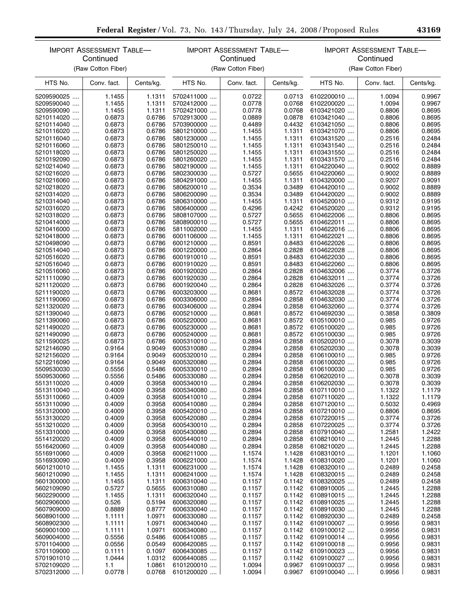|                          | <b>IMPORT ASSESSMENT TABLE-</b><br>Continued |                  | <b>IMPORT ASSESSMENT TABLE-</b><br>Continued |                  | <b>IMPORT ASSESSMENT TABLE-</b><br>Continued |                          |                  |                  |
|--------------------------|----------------------------------------------|------------------|----------------------------------------------|------------------|----------------------------------------------|--------------------------|------------------|------------------|
|                          | (Raw Cotton Fiber)                           |                  | (Raw Cotton Fiber)                           |                  | (Raw Cotton Fiber)                           |                          |                  |                  |
| HTS No.                  | Conv. fact.                                  | Cents/kg.        | HTS No.                                      | Conv. fact.      | Cents/kg.                                    | HTS No.                  | Conv. fact.      | Cents/kg.        |
| 5209590025               | 1.1455                                       | 1.1311           | 5702411000                                   | 0.0722           | 0.0713                                       | 6102200010               | 1.0094           | 0.9967           |
| 5209590040               | 1.1455                                       | 1.1311           | 5702412000                                   | 0.0778           | 0.0768                                       | 6102200020               | 1.0094           | 0.9967           |
| 5209590090               | 1.1455                                       | 1.1311           | 5702421000                                   | 0.0778           | 0.0768                                       | 6103421020               | 0.8806           | 0.8695           |
| 5210114020               | 0.6873                                       | 0.6786           | 5702913000                                   | 0.0889           | 0.0878                                       | 6103421040               | 0.8806           | 0.8695           |
| 5210114040               | 0.6873                                       | 0.6786           | 5703900000                                   | 0.4489           | 0.4432                                       | 6103421050               | 0.8806           | 0.8695           |
| 5210116020               | 0.6873                                       | 0.6786           | 5801210000                                   | 1.1455           | 1.1311                                       | 6103421070               | 0.8806           | 0.8695           |
| 5210116040               | 0.6873                                       | 0.6786           | 5801230000                                   | 1.1455           | 1.1311                                       | 6103431520               | 0.2516           | 0.2484           |
| 5210116060               | 0.6873                                       | 0.6786           | 5801250010                                   | 1.1455           | 1.1311                                       | 6103431540               | 0.2516           | 0.2484           |
| 5210118020               | 0.6873                                       | 0.6786           | 5801250020                                   | 1.1455           | 1.1311                                       | 6103431550               | 0.2516           | 0.2484           |
| 5210192090               | 0.6873                                       | 0.6786           | 5801260020                                   | 1.1455           | 1.1311                                       | 6103431570               | 0.2516           | 0.2484           |
| 5210214040               | 0.6873                                       | 0.6786           | 5802190000                                   | 1.1455           | 1.1311                                       | 6104220040               | 0.9002           | 0.8889           |
| 5210216020               | 0.6873                                       | 0.6786           | 5802300030                                   | 0.5727           | 0.5655                                       | 6104220060               | 0.9002           | 0.8889           |
| 5210216060               | 0.6873                                       | 0.6786           | 5804291000                                   | 1.1455           | 1.1311                                       | 6104320000               | 0.9207           | 0.9091           |
| 5210218020               | 0.6873                                       | 0.6786           | 5806200010                                   | 0.3534           | 0.3489                                       | 6104420010               | 0.9002           | 0.8889           |
| 5210314020               | 0.6873                                       | 0.6786           | 5806200090                                   | 0.3534           | 0.3489                                       | 6104420020               | 0.9002           | 0.8889           |
| 5210314040               | 0.6873                                       | 0.6786           | 5806310000                                   | 1.1455           | 1.1311                                       | 6104520010               | 0.9312           | 0.9195           |
| 5210316020               | 0.6873                                       | 0.6786           | 5806400000                                   | 0.4296           | 0.4242                                       | 6104520020               | 0.9312           | 0.9195           |
| 5210318020               | 0.6873                                       | 0.6786           | 5808107000                                   | 0.5727           | 0.5655                                       | 6104622006               | 0.8806           | 0.8695           |
| 5210414000               | 0.6873                                       | 0.6786           | 5808900010                                   | 0.5727           | 0.5655                                       | 6104622011               | 0.8806           | 0.8695           |
| 5210416000               | 0.6873                                       | 0.6786           | 5811002000                                   | 1.1455           | 1.1311                                       | 6104622016               | 0.8806           | 0.8695           |
| 5210418000               | 0.6873                                       | 0.6786           | 6001106000                                   | 1.1455           | 1.1311                                       | 6104622021               | 0.8806           | 0.8695           |
| 5210498090               | 0.6873                                       | 0.6786           | 6001210000                                   | 0.8591           | 0.8483                                       | 6104622026               | 0.8806           | 0.8695           |
| 5210514040               | 0.6873                                       | 0.6786           | 6001220000                                   | 0.2864           | 0.2828                                       | 6104622028               | 0.8806           | 0.8695           |
| 5210516020               | 0.6873                                       | 0.6786           | 6001910010                                   | 0.8591           | 0.8483                                       | 6104622030               | 0.8806           | 0.8695           |
| 5210516040               | 0.6873                                       | 0.6786           | 6001910020                                   | 0.8591           | 0.8483                                       | 6104622060               | 0.8806           | 0.8695           |
| 5210516060               | 0.6873                                       | 0.6786           | 6001920020                                   | 0.2864           | 0.2828                                       | 6104632006               | 0.3774           | 0.3726           |
| 5211110090               | 0.6873                                       | 0.6786           | 6001920030                                   | 0.2864           | 0.2828                                       | 6104632011               | 0.3774           | 0.3726           |
| 5211120020               | 0.6873                                       | 0.6786           | 6001920040                                   | 0.2864           | 0.2828                                       | 6104632026               | 0.3774           | 0.3726           |
| 5211190020               | 0.6873                                       | 0.6786           | 6003203000                                   | 0.8681           | 0.8572                                       | 6104632028               | 0.3774           | 0.3726           |
| 5211190060               | 0.6873                                       | 0.6786           | 6003306000                                   | 0.2894           | 0.2858                                       | 6104632030               | 0.3774           | 0.3726           |
| 5211320020               | 0.6873                                       | 0.6786           | 6003406000                                   | 0.2894           | 0.2858                                       | 6104632060               | 0.3774           | 0.3726           |
| 5211390040               | 0.6873                                       | 0.6786           | 6005210000                                   | 0.8681           | 0.8572                                       | 6104692030               | 0.3858           | 0.3809           |
| 5211390060               | 0.6873                                       | 0.6786           | 6005220000                                   | 0.8681           | 0.8572                                       | 6105100010               | 0.985            | 0.9726           |
| 5211490020               | 0.6873                                       | 0.6786           | 6005230000                                   | 0.8681           | 0.8572                                       | 6105100020               | 0.985            | 0.9726           |
| 5211490090               | 0.6873                                       | 0.6786           | 6005240000                                   | 0.8681           | 0.8572                                       | 6105100030               | 0.985            | 0.9726           |
| 5211590025               | 0.6873                                       | 0.6786           | 6005310010                                   | 0.2894           | 0.2858                                       | 6105202010               | 0.3078           | 0.3039           |
| 5212146090               | 0.9164                                       | 0.9049           | 6005310080                                   | 0.2894           | 0.2858                                       | 6105202030               | 0.3078           | 0.3039           |
| 5212156020               | 0.9164                                       | 0.9049           | 6005320010                                   | 0.2894           | 0.2858                                       | 6106100010               | 0.985            | 0.9726           |
| 5212216090               | 0.9164                                       | 0.9049           | 6005320080                                   | 0.2894           | 0.2858                                       | 6106100020               | 0.985            | 0.9726           |
| 5509530030               | 0.5556                                       | 0.5486           | 6005330010                                   | 0.2894           | 0.2858                                       | 6106100030               | 0.985            | 0.9726           |
| 5509530060<br>5513110020 | 0.5556                                       | 0.5486<br>0.3958 | 6005330080<br>6005340010                     | 0.2894           | 0.2858<br>0.2858                             | 6106202010<br>6106202030 | 0.3078           | 0.3039<br>0.3039 |
|                          | 0.4009                                       |                  |                                              | 0.2894           |                                              |                          | 0.3078           |                  |
| 5513110040<br>5513110060 | 0.4009<br>0.4009                             | 0.3958<br>0.3958 | 6005340080<br>6005410010                     | 0.2894<br>0.2894 | 0.2858<br>0.2858                             | 6107110010<br>6107110020 | 1.1322<br>1.1322 | 1.1179<br>1.1179 |
| 5513110090               | 0.4009                                       | 0.3958           | 6005410080                                   | 0.2894           | 0.2858                                       | 6107120010               | 0.5032           | 0.4969           |
|                          |                                              |                  |                                              |                  | 0.2858                                       |                          |                  | 0.8695           |
| 5513120000<br>5513130020 | 0.4009<br>0.4009                             | 0.3958<br>0.3958 | 6005420010<br>6005420080                     | 0.2894<br>0.2894 | 0.2858                                       | 6107210010<br>6107220015 | 0.8806<br>0.3774 | 0.3726           |
| 5513210020               | 0.4009                                       | 0.3958           | 6005430010                                   | 0.2894           | 0.2858                                       | 6107220025               | 0.3774           | 0.3726           |
| 5513310000               | 0.4009                                       | 0.3958           | 6005430080                                   | 0.2894           | 0.2858                                       | 6107910040               | 1.2581           | 1.2422           |
| 5514120020               | 0.4009                                       | 0.3958           | 6005440010                                   | 0.2894           | 0.2858                                       | 6108210010               | 1.2445           | 1.2288           |
| 5516420060               | 0.4009                                       | 0.3958           | 6005440080                                   | 0.2894           | 0.2858                                       | 6108210020               | 1.2445           | 1.2288           |
| 5516910060               | 0.4009                                       | 0.3958           | 6006211000                                   | 1.1574           | 1.1428                                       | 6108310010               | 1.1201           | 1.1060           |
| 5516930090               | 0.4009                                       | 0.3958           | 6006221000                                   | 1.1574           | 1.1428                                       | 6108310020               | 1.1201           | 1.1060           |
| 5601210010               | 1.1455                                       | 1.1311           | 6006231000                                   | 1.1574           | 1.1428                                       | 6108320010               | 0.2489           | 0.2458           |
| 5601210090               | 1.1455                                       | 1.1311           | 6006241000                                   | 1.1574           | 1.1428                                       | 6108320015               | 0.2489           | 0.2458           |
| 5601300000               | 1.1455                                       | 1.1311           | 6006310040                                   | 0.1157           | 0.1142                                       | 6108320025               | 0.2489           | 0.2458           |
| 5602109090               | 0.5727                                       | 0.5655           | 6006310080                                   | 0.1157           | 0.1142                                       | 6108910005               | 1.2445           | 1.2288           |
| 5602290000               | 1.1455                                       | 1.1311           | 6006320040                                   | 0.1157           | 0.1142                                       | 6108910015               | 1.2445           | 1.2288           |
| 5602906000               | 0.526                                        | 0.5194           | 6006320080                                   | 0.1157           | 0.1142                                       | 6108910025               | 1.2445           | 1.2288           |
| 5607909000               | 0.8889                                       | 0.8777           | 6006330040                                   | 0.1157           | 0.1142                                       | 6108910030               | 1.2445           | 1.2288           |
| 5608901000               | 1.1111                                       | 1.0971           | 6006330080                                   | 0.1157           | 0.1142                                       | 6108920030               | 0.2489           | 0.2458           |
| 5608902300               | 1.1111                                       | 1.0971           | 6006340040                                   | 0.1157           | 0.1142                                       | 6109100007               | 0.9956           | 0.9831           |
| 5609001000               | 1.1111                                       | 1.0971           | 6006340080                                   | 0.1157           | 0.1142                                       | 6109100012               | 0.9956           | 0.9831           |
| 5609004000               | 0.5556                                       | 0.5486           | 6006410085                                   | 0.1157           | 0.1142                                       | 6109100014               | 0.9956           | 0.9831           |
| 5701104000               | 0.0556                                       | 0.0549           | 6006420085                                   | 0.1157           | 0.1142                                       | 6109100018               | 0.9956           | 0.9831           |
| 5701109000               | 0.1111                                       | 0.1097           | 6006430085                                   | 0.1157           | 0.1142                                       | 6109100023               | 0.9956           | 0.9831           |
| 5701901010               | 1.0444                                       | 1.0312           | 6006440085                                   | 0.1157           | 0.1142                                       | 6109100027               | 0.9956           | 0.9831           |
| 5702109020               | 1.1                                          | 1.0861           | 6101200010                                   | 1.0094           | 0.9967                                       | 6109100037               | 0.9956           | 0.9831           |
| 5702312000               | 0.0778                                       | 0.0768           | 6101200020                                   | 1.0094           | 0.9967                                       | 6109100040               | 0.9956           | 0.9831           |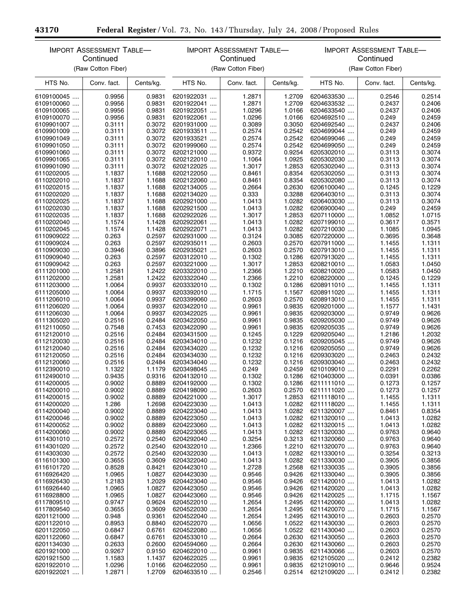п

۰

|                          | IMPORT ASSESSMENT TABLE-<br>Continued<br>(Raw Cotton Fiber) |                  | <b>IMPORT ASSESSMENT TABLE-</b><br>Continued<br>(Raw Cotton Fiber) |                  | IMPORT ASSESSMENT TABLE-<br>Continued<br>(Raw Cotton Fiber) |                          |                  |                  |
|--------------------------|-------------------------------------------------------------|------------------|--------------------------------------------------------------------|------------------|-------------------------------------------------------------|--------------------------|------------------|------------------|
| HTS No.                  | Conv. fact.                                                 | Cents/kg.        | HTS No.                                                            | Conv. fact.      | Cents/kg.                                                   | HTS No.                  | Conv. fact.      | Cents/kg.        |
|                          |                                                             |                  |                                                                    |                  |                                                             |                          |                  |                  |
| 6109100045               | 0.9956                                                      | 0.9831           | 6201922031                                                         | 1.2871           | 1.2709                                                      | 6204633530               | 0.2546           | 0.2514           |
| 6109100060<br>6109100065 | 0.9956<br>0.9956                                            | 0.9831<br>0.9831 | 6201922041<br>6201922051                                           | 1.2871<br>1.0296 | 1.2709<br>1.0166                                            | 6204633532<br>6204633540 | 0.2437<br>0.2437 | 0.2406<br>0.2406 |
| 6109100070               | 0.9956                                                      | 0.9831           | 6201922061                                                         | 1.0296           | 1.0166                                                      | 6204692510               | 0.249            | 0.2459           |
| 6109901007               | 0.3111                                                      | 0.3072           | 6201931000                                                         | 0.3089           | 0.3050                                                      | 6204692540               | 0.2437           | 0.2406           |
| 6109901009               | 0.3111                                                      | 0.3072           | 6201933511                                                         | 0.2574           | 0.2542                                                      | 6204699044               | 0.249            | 0.2459           |
| 6109901049               | 0.3111                                                      | 0.3072           | 6201933521                                                         | 0.2574           | 0.2542                                                      | 6204699046               | 0.249            | 0.2459           |
| 6109901050               | 0.3111                                                      | 0.3072           | 6201999060                                                         | 0.2574           | 0.2542                                                      | 6204699050               | 0.249            | 0.2459           |
| 6109901060               | 0.3111                                                      | 0.3072           | 6202121000                                                         | 0.9372           | 0.9254                                                      | 6205302010               | 0.3113           | 0.3074           |
| 6109901065               | 0.3111                                                      | 0.3072           | 6202122010                                                         | 1.1064           | 1.0925                                                      | 6205302030               | 0.3113           | 0.3074           |
| 6109901090               | 0.3111                                                      | 0.3072           | 6202122025                                                         | 1.3017           | 1.2853                                                      | 6205302040               | 0.3113           | 0.3074           |
| 6110202005               | 1.1837                                                      | 1.1688           | 6202122050                                                         | 0.8461           | 0.8354                                                      | 6205302050               | 0.3113           | 0.3074           |
| 6110202010               | 1.1837                                                      | 1.1688           | 6202122060                                                         | 0.8461           | 0.8354                                                      | 6205302080               | 0.3113           | 0.3074           |
| 6110202015               | 1.1837                                                      | 1.1688           | 6202134005                                                         | 0.2664           | 0.2630                                                      | 6206100040               | 0.1245           | 0.1229           |
| 6110202020               | 1.1837                                                      | 1.1688           | 6202134020                                                         | 0.333            | 0.3288                                                      | 6206403010               | 0.3113           | 0.3074           |
| 6110202025               | 1.1837                                                      | 1.1688           | 6202921000                                                         | 1.0413           | 1.0282                                                      | 6206403030               | 0.3113           | 0.3074           |
| 6110202030               | 1.1837                                                      | 1.1688           | 6202921500                                                         | 1.0413           | 1.0282                                                      | 6206900040               | 0.249            | 0.2459           |
| 6110202035               | 1.1837                                                      | 1.1688           | 6202922026                                                         | 1.3017           | 1.2853                                                      | 6207110000               | 1.0852           | 1.0715           |
| 6110202040               | 1.1574                                                      | 1.1428           | 6202922061                                                         | 1.0413           | 1.0282                                                      | 6207199010               | 0.3617           | 0.3571           |
| 6110202045               | 1.1574                                                      | 1.1428           | 6202922071                                                         | 1.0413           | 1.0282                                                      | 6207210030               | 1.1085           | 1.0945           |
| 6110909022               | 0.263                                                       | 0.2597           | 6202931000                                                         | 0.3124           | 0.3085                                                      | 6207220000               | 0.3695           | 0.3648           |
| 6110909024               | 0.263                                                       | 0.2597           | 6202935011                                                         | 0.2603           | 0.2570                                                      | 6207911000               | 1.1455           | 1.1311           |
| 6110909030               | 0.3946                                                      | 0.3896           | 6202935021                                                         | 0.2603           | 0.2570                                                      | 6207913010               | 1.1455           | 1.1311           |
| 6110909040               | 0.263                                                       | 0.2597           | 6203122010                                                         | 0.1302           | 0.1286                                                      | 6207913020               | 1.1455           | 1.1311           |
| 6110909042               | 0.263                                                       | 0.2597           | 6203221000                                                         | 1.3017           | 1.2853                                                      | 6208210010               | 1.0583           | 1.0450           |
| 6111201000               | 1.2581                                                      | 1.2422           | 6203322010                                                         | 1.2366           | 1.2210                                                      | 6208210020               | 1.0583           | 1.0450           |
| 6111202000               | 1.2581                                                      | 1.2422           | 6203322040                                                         | 1.2366           | 1.2210                                                      | 6208220000               | 0.1245           | 0.1229           |
| 6111203000               | 1.0064                                                      | 0.9937           | 6203332010                                                         | 0.1302           | 0.1286                                                      | 6208911010               | 1.1455           | 1.1311           |
| 6111205000               | 1.0064<br>1.0064                                            | 0.9937<br>0.9937 | 6203392010<br>6203399060                                           | 1.1715<br>0.2603 | 1.1567<br>0.2570                                            | 6208911020<br>6208913010 | 1.1455           | 1.1311<br>1.1311 |
| 6111206010<br>6111206020 | 1.0064                                                      | 0.9937           | 6203422010                                                         | 0.9961           | 0.9835                                                      | 6209201000               | 1.1455<br>1.1577 | 1.1431           |
| 6111206030               | 1.0064                                                      | 0.9937           | 6203422025                                                         | 0.9961           | 0.9835                                                      | 6209203000               | 0.9749           | 0.9626           |
| 6111305020               | 0.2516                                                      | 0.2484           | 6203422050                                                         | 0.9961           | 0.9835                                                      | 6209205030               | 0.9749           | 0.9626           |
| 6112110050               | 0.7548                                                      | 0.7453           | 6203422090                                                         | 0.9961           | 0.9835                                                      | 6209205035               | 0.9749           | 0.9626           |
| 6112120010               | 0.2516                                                      | 0.2484           | 6203431500                                                         | 0.1245           | 0.1229                                                      | 6209205040               | 1.2186           | 1.2032           |
| 6112120030               | 0.2516                                                      | 0.2484           | 6203434010                                                         | 0.1232           | 0.1216                                                      | 6209205045               | 0.9749           | 0.9626           |
| 6112120040               | 0.2516                                                      | 0.2484           | 6203434020                                                         | 0.1232           | 0.1216                                                      | 6209205050               | 0.9749           | 0.9626           |
| 6112120050               | 0.2516                                                      | 0.2484           | 6203434030                                                         | 0.1232           | 0.1216                                                      | 6209303020               | 0.2463           | 0.2432           |
| 6112120060               | 0.2516                                                      | 0.2484           | 6203434040                                                         | 0.1232           | 0.1216                                                      | 6209303040               | 0.2463           | 0.2432           |
| 6112390010               | 1.1322                                                      | 1.1179           | 6203498045                                                         | 0.249            | 0.2459                                                      | 6210109010               | 0.2291           | 0.2262           |
| 6112490010               | 0.9435                                                      | 0.9316           | 6204132010                                                         | 0.1302           | 0.1286                                                      | 6210403000               | 0.0391           | 0.0386           |
| 6114200005               | 0.9002                                                      | 0.8889           | 6204192000                                                         | 0.1302           | 0.1286                                                      | 6211111010               | 0.1273           | 0.1257           |
| 6114200010               | 0.9002                                                      | 0.8889           | 6204198090                                                         | 0.2603           | 0.2570                                                      | 6211111020               | 0.1273           | 0.1257           |
| 6114200015               | 0.9002                                                      | 0.8889           | 6204221000                                                         | 1.3017           | 1.2853                                                      | 6211118010               | 1.1455           | 1.1311           |
| 6114200020               | 1.286                                                       | 1.2698           | 6204223030                                                         | 1.0413           | 1.0282                                                      | 6211118020               | 1.1455           | 1.1311           |
| 6114200040               | 0.9002                                                      | 0.8889           | 6204223040                                                         | 1.0413           | 1.0282                                                      | 6211320007               | 0.8461           | 0.8354           |
| 6114200046               | 0.9002                                                      | 0.8889           | 6204223050                                                         | 1.0413           | 1.0282                                                      | 6211320010               | 1.0413           | 1.0282           |
| 6114200052               | 0.9002                                                      | 0.8889           | 6204223060                                                         | 1.0413           | 1.0282                                                      | 6211320015               | 1.0413           | 1.0282           |
| 6114200060               | 0.9002                                                      | 0.8889           | 6204223065                                                         | 1.0413           | 1.0282                                                      | 6211320030               | 0.9763           | 0.9640           |
| 6114301010               | 0.2572                                                      | 0.2540           | 6204292040                                                         | 0.3254           | 0.3213                                                      | 6211320060               | 0.9763           | 0.9640           |
| 6114301020               | 0.2572                                                      | 0.2540           | 6204322010                                                         | 1.2366           | 1.2210                                                      | 6211320070               | 0.9763           | 0.9640           |
| 6114303030               | 0.2572                                                      | 0.2540           | 6204322030                                                         | 1.0413           | 1.0282                                                      | 6211330010               | 0.3254           | 0.3213           |
| 6116101300               | 0.3655                                                      | 0.3609           | 6204322040                                                         | 1.0413           | 1.0282                                                      | 6211330030               | 0.3905           | 0.3856           |
| 6116101720               | 0.8528<br>1.0965                                            | 0.8421<br>1.0827 | 6204423010                                                         | 1.2728<br>0.9546 | 1.2568                                                      | 6211330035               | 0.3905           | 0.3856           |
| 6116926420               | 1.2183                                                      |                  | 6204423030<br>6204423040                                           | 0.9546           | 0.9426<br>0.9426                                            | 6211330040               | 0.3905           | 0.3856           |
| 6116926430<br>6116926440 | 1.0965                                                      | 1.2029<br>1.0827 | 6204423050                                                         | 0.9546           | 0.9426                                                      | 6211420010<br>6211420020 | 1.0413<br>1.0413 | 1.0282<br>1.0282 |
| 6116928800               | 1.0965                                                      | 1.0827           | 6204423060                                                         | 0.9546           | 0.9426                                                      | 6211420025               | 1.1715           | 1.1567           |
| 6117809510               | 0.9747                                                      | 0.9624           | 6204522010                                                         | 1.2654           | 1.2495                                                      | 6211420060               | 1.0413           | 1.0282           |
| 6117809540               | 0.3655                                                      | 0.3609           | 6204522030                                                         | 1.2654           | 1.2495                                                      | 6211420070               | 1.1715           | 1.1567           |
| 6201121000               | 0.948                                                       | 0.9361           | 6204522040                                                         | 1.2654           | 1.2495                                                      | 6211430010               | 0.2603           | 0.2570           |
| 6201122010               | 0.8953                                                      | 0.8840           | 6204522070                                                         | 1.0656           | 1.0522                                                      | 6211430030               | 0.2603           | 0.2570           |
| 6201122050               | 0.6847                                                      | 0.6761           | 6204522080                                                         | 1.0656           | 1.0522                                                      | 6211430040               | 0.2603           | 0.2570           |
| 6201122060               | 0.6847                                                      | 0.6761           | 6204533010                                                         | 0.2664           | 0.2630                                                      | 6211430050               | 0.2603           | 0.2570           |
| 6201134030               | 0.2633                                                      | 0.2600           | 6204594060                                                         | 0.2664           | 0.2630                                                      | 6211430060               | 0.2603           | 0.2570           |
| 6201921000               | 0.9267                                                      | 0.9150           | 6204622010                                                         | 0.9961           | 0.9835                                                      | 6211430066               | 0.2603           | 0.2570           |
| 6201921500               | 1.1583                                                      | 1.1437           | 6204622025                                                         | 0.9961           | 0.9835                                                      | 6212105020               | 0.2412           | 0.2382           |
| 6201922010               | 1.0296                                                      | 1.0166           | 6204622050                                                         | 0.9961           | 0.9835                                                      | 6212109010               | 0.9646           | 0.9524           |
| 6201922021               | 1.2871                                                      | 1.2709           | 6204633510                                                         | 0.2546           | 0.2514                                                      | 6212109020               | 0.2412           | 0.2382           |